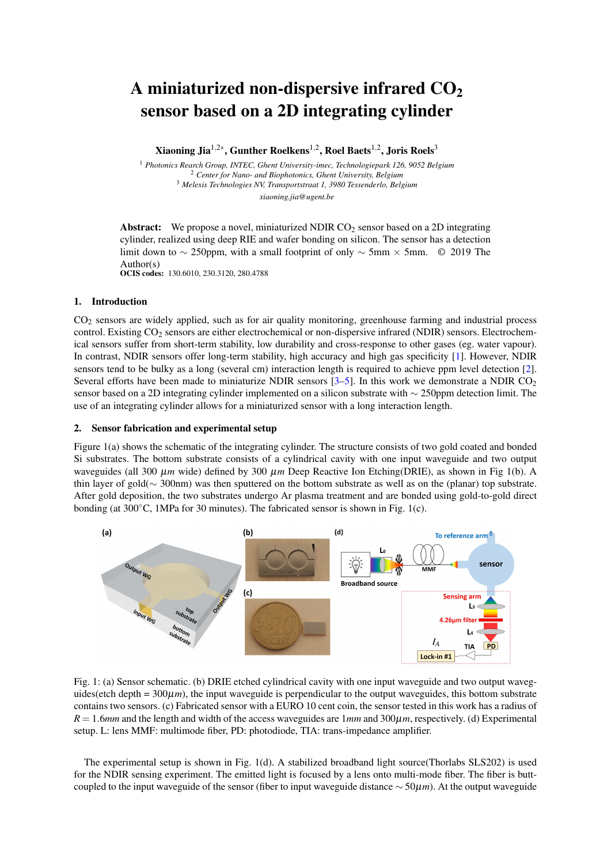# A miniaturized non-dispersive infrared  $CO<sub>2</sub>$ sensor based on a 2D integrating cylinder

Xiaoning Jia $^{1,2\ast},$  Gunther Roelkens $^{1,2},$  Roel Baets $^{1,2},$  Joris Roels $^3$ 

 *Photonics Rearch Group, INTEC, Ghent University-imec, Technologiepark 126, 9052 Belgium Center for Nano- and Biophotonics, Ghent University, Belgium Melexis Technologies NV, Transportstraat 1, 3980 Tessenderlo, Belgium xiaoning.jia@ugent.be*

**Abstract:** We propose a novel, miniaturized NDIR  $CO<sub>2</sub>$  sensor based on a 2D integrating cylinder, realized using deep RIE and wafer bonding on silicon. The sensor has a detection limit down to ∼ 250ppm, with a small footprint of only ∼ 5mm × 5mm. © 2019 The Author(s) OCIS codes: 130.6010, 230.3120, 280.4788

## 1. Introduction

CO<sup>2</sup> sensors are widely applied, such as for air quality monitoring, greenhouse farming and industrial process control. Existing CO<sub>2</sub> sensors are either electrochemical or non-dispersive infrared (NDIR) sensors. Electrochemical sensors suffer from short-term stability, low durability and cross-response to other gases (eg. water vapour). In contrast, NDIR sensors offer long-term stability, high accuracy and high gas specificity [\[1\]](#page-1-0). However, NDIR sensors tend to be bulky as a long (several cm) interaction length is required to achieve ppm level detection [\[2\]](#page-1-1). Several efforts have been made to miniaturize NDIR sensors  $[3-5]$  $[3-5]$ . In this work we demonstrate a NDIR CO<sub>2</sub> sensor based on a 2D integrating cylinder implemented on a silicon substrate with ∼ 250ppm detection limit. The use of an integrating cylinder allows for a miniaturized sensor with a long interaction length.

## 2. Sensor fabrication and experimental setup

Figure 1(a) shows the schematic of the integrating cylinder. The structure consists of two gold coated and bonded Si substrates. The bottom substrate consists of a cylindrical cavity with one input waveguide and two output waveguides (all 300 µ*m* wide) defined by 300 µ*m* Deep Reactive Ion Etching(DRIE), as shown in Fig 1(b). A thin layer of gold(∼ 300nm) was then sputtered on the bottom substrate as well as on the (planar) top substrate. After gold deposition, the two substrates undergo Ar plasma treatment and are bonded using gold-to-gold direct bonding (at 300◦C, 1MPa for 30 minutes). The fabricated sensor is shown in Fig. 1(c).



Fig. 1: (a) Sensor schematic. (b) DRIE etched cylindrical cavity with one input waveguide and two output waveguides(etch depth =  $300\mu$ *m*), the input waveguide is perpendicular to the output waveguides, this bottom substrate contains two sensors. (c) Fabricated sensor with a EURO 10 cent coin, the sensor tested in this work has a radius of *R* = 1.6*mm* and the length and width of the access waveguides are 1*mm* and 300µ*m*, respectively. (d) Experimental setup. L: lens MMF: multimode fiber, PD: photodiode, TIA: trans-impedance amplifier.

The experimental setup is shown in Fig. 1(d). A stabilized broadband light source(Thorlabs SLS202) is used for the NDIR sensing experiment. The emitted light is focused by a lens onto multi-mode fiber. The fiber is buttcoupled to the input waveguide of the sensor (fiber to input waveguide distance ∼ 50µ*m*). At the output waveguide